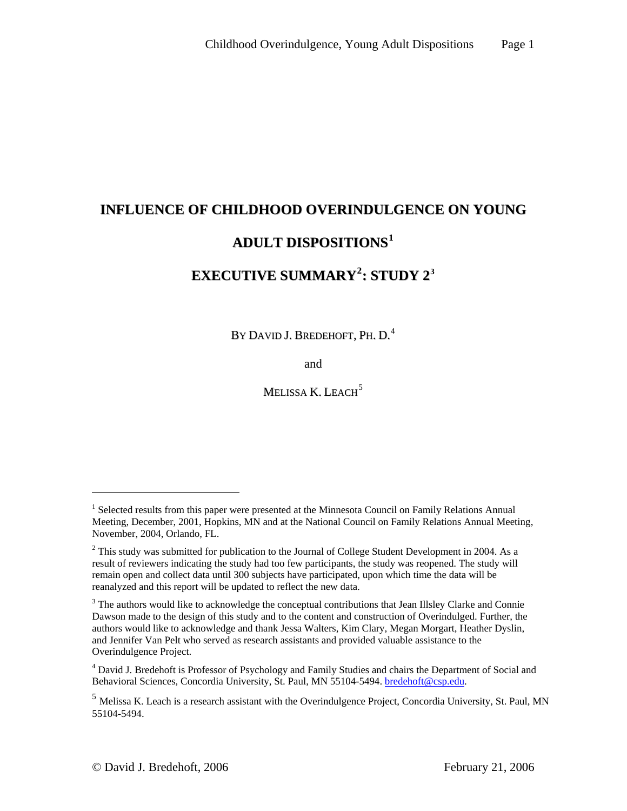# **INFLUENCE OF CHILDHOOD OVERINDULGENCE ON YOUNG ADULT DISPOSITIONS[1](#page-0-0) EXECUTIVE SUMMARY[2](#page-0-1) : STUDY 2[3](#page-0-2)**

By David J. Bredehoft, Ph. D. $^4\,$  $^4\,$  $^4\,$ 

and

Melissa K. Leach<sup>[5](#page-0-4)</sup>

 $\overline{a}$ 

<span id="page-0-0"></span><sup>&</sup>lt;sup>1</sup> Selected results from this paper were presented at the Minnesota Council on Family Relations Annual Meeting, December, 2001, Hopkins, MN and at the National Council on Family Relations Annual Meeting, November, 2004, Orlando, FL.

<span id="page-0-1"></span> $2$  This study was submitted for publication to the Journal of College Student Development in 2004. As a result of reviewers indicating the study had too few participants, the study was reopened. The study will remain open and collect data until 300 subjects have participated, upon which time the data will be reanalyzed and this report will be updated to reflect the new data.

<span id="page-0-2"></span><sup>&</sup>lt;sup>3</sup> The authors would like to acknowledge the conceptual contributions that Jean Illsley Clarke and Connie Dawson made to the design of this study and to the content and construction of Overindulged. Further, the authors would like to acknowledge and thank Jessa Walters, Kim Clary, Megan Morgart, Heather Dyslin, and Jennifer Van Pelt who served as research assistants and provided valuable assistance to the Overindulgence Project.

<span id="page-0-3"></span><sup>&</sup>lt;sup>4</sup> David J. Bredehoft is Professor of Psychology and Family Studies and chairs the Department of Social and Behavioral Sciences, Concordia University, St. Paul, MN 55104-5494. [bredehoft@csp.edu.](mailto:bredehoft@csp.edu)

<span id="page-0-4"></span><sup>5</sup> Melissa K. Leach is a research assistant with the Overindulgence Project, Concordia University, St. Paul, MN 55104-5494.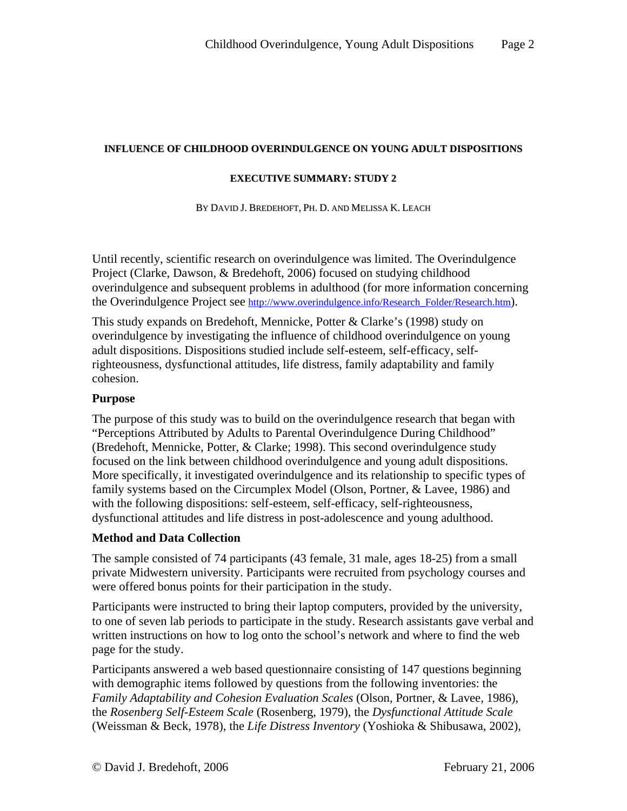#### **INFLUENCE OF CHILDHOOD OVERINDULGENCE ON YOUNG ADULT DISPOSITIONS**

#### **EXECUTIVE SUMMARY: STUDY 2**

BY DAVID J. BREDEHOFT, PH. D. AND MELISSA K. LEACH

Until recently, scientific research on overindulgence was limited. The Overindulgence Project (Clarke, Dawson, & Bredehoft, 2006) focused on studying childhood overindulgence and subsequent problems in adulthood (for more information concerning the Overindulgence Project see http://www.overindulgence.info/Research Folder/Research.htm).

This study expands on Bredehoft, Mennicke, Potter & Clarke's (1998) study on overindulgence by investigating the influence of childhood overindulgence on young adult dispositions. Dispositions studied include self-esteem, self-efficacy, selfrighteousness, dysfunctional attitudes, life distress, family adaptability and family cohesion.

#### **Purpose**

The purpose of this study was to build on the overindulgence research that began with "Perceptions Attributed by Adults to Parental Overindulgence During Childhood" (Bredehoft, Mennicke, Potter, & Clarke; 1998). This second overindulgence study focused on the link between childhood overindulgence and young adult dispositions. More specifically, it investigated overindulgence and its relationship to specific types of family systems based on the Circumplex Model (Olson, Portner, & Lavee, 1986) and with the following dispositions: self-esteem, self-efficacy, self-righteousness, dysfunctional attitudes and life distress in post-adolescence and young adulthood.

### **Method and Data Collection**

The sample consisted of 74 participants (43 female, 31 male, ages 18-25) from a small private Midwestern university. Participants were recruited from psychology courses and were offered bonus points for their participation in the study.

Participants were instructed to bring their laptop computers, provided by the university, to one of seven lab periods to participate in the study. Research assistants gave verbal and written instructions on how to log onto the school's network and where to find the web page for the study.

Participants answered a web based questionnaire consisting of 147 questions beginning with demographic items followed by questions from the following inventories: the *Family Adaptability and Cohesion Evaluation Scales* (Olson, Portner, & Lavee, 1986), the *Rosenberg Self-Esteem Scale* (Rosenberg, 1979), the *Dysfunctional Attitude Scale* (Weissman & Beck, 1978), the *Life Distress Inventory* (Yoshioka & Shibusawa, 2002),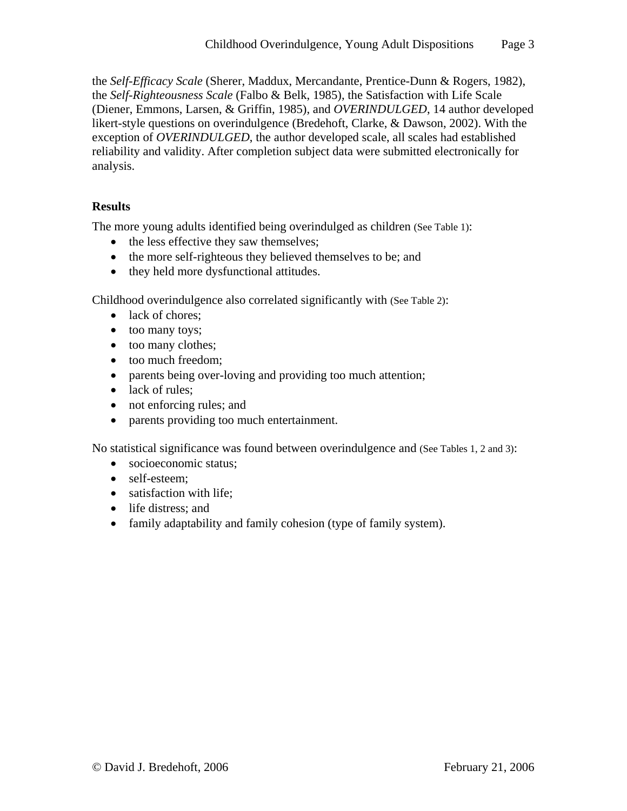the *Self-Efficacy Scale* (Sherer, Maddux, Mercandante, Prentice-Dunn & Rogers, 1982), the *Self-Righteousness Scale* (Falbo & Belk, 1985), the Satisfaction with Life Scale (Diener, Emmons, Larsen, & Griffin, 1985), and *OVERINDULGED*, 14 author developed likert-style questions on overindulgence (Bredehoft, Clarke, & Dawson, 2002). With the exception of *OVERINDULGED*, the author developed scale, all scales had established reliability and validity. After completion subject data were submitted electronically for analysis.

### **Results**

The more young adults identified being overindulged as children (See Table 1):

- the less effective they saw themselves;
- the more self-righteous they believed themselves to be; and
- they held more dysfunctional attitudes.

Childhood overindulgence also correlated significantly with (See Table 2):

- lack of chores;
- too many toys;
- too many clothes;
- too much freedom;
- parents being over-loving and providing too much attention;
- lack of rules:
- not enforcing rules; and
- parents providing too much entertainment.

No statistical significance was found between overindulgence and (See Tables 1, 2 and 3):

- socioeconomic status;
- self-esteem:
- satisfaction with life;
- life distress; and
- family adaptability and family cohesion (type of family system).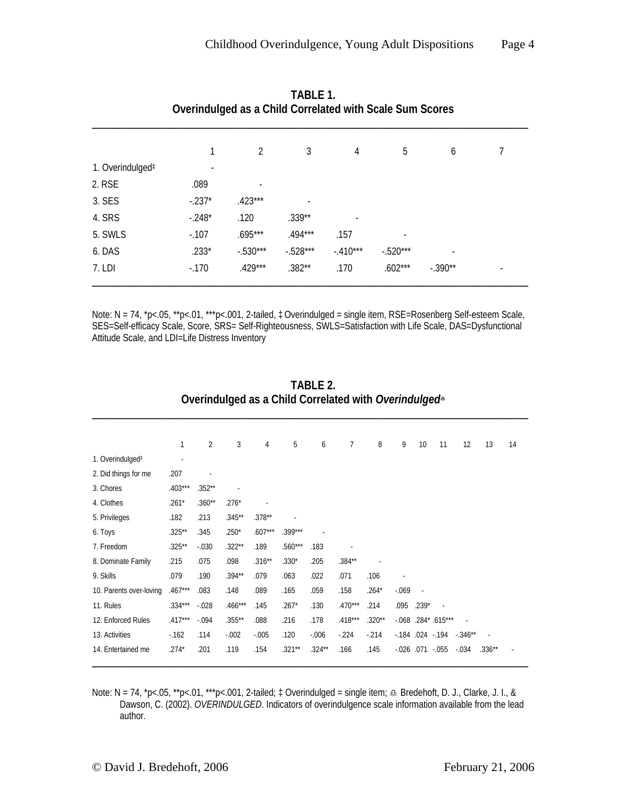|                              | Overindulged as a Child Correlated with Scale Sum Scores |            |            |            |            |           |  |
|------------------------------|----------------------------------------------------------|------------|------------|------------|------------|-----------|--|
|                              |                                                          | 2          | 3          | 4          | 5          | 6         |  |
| 1. Overindulged <sup>#</sup> |                                                          |            |            |            |            |           |  |
| 2. RSE                       | .089                                                     |            |            |            |            |           |  |
| 3. SES                       | $-.237*$                                                 | $.423***$  |            |            |            |           |  |
| 4. SRS                       | $-.248*$                                                 | .120       | $.339**$   |            |            |           |  |
| 5. SWLS                      | $-.107$                                                  | $.695***$  | $.494***$  | .157       |            |           |  |
| 6. DAS                       | $.233*$                                                  | $-.530***$ | $-.528***$ | $-.410***$ | $-.520***$ |           |  |
| 7. LDI                       | $-170$                                                   | $.429***$  | $.382**$   | .170       | $.602***$  | $-.390**$ |  |

**TABLE 1. Overindulged as a Child Correlated with Scale Sum Scores** 

Note: N = 74, \*p<.05, \*\*p<.01, \*\*\*p<.001, 2-tailed, ‡Overindulged = single item, RSE=Rosenberg Self-esteem Scale, SES=Self-efficacy Scale, Score, SRS= Self-Righteousness, SWLS=Satisfaction with Life Scale, DAS=Dysfunctional Attitude Scale, and LDI=Life Distress Inventory

|                              | 1         | $\overline{2}$ | 3         | 4         | 5         | 6        | $\overline{7}$ | 8        | 9                         | 10      | 11                     | 12                                | 13       | 14 |
|------------------------------|-----------|----------------|-----------|-----------|-----------|----------|----------------|----------|---------------------------|---------|------------------------|-----------------------------------|----------|----|
| 1. Overindulged <sup>#</sup> |           |                |           |           |           |          |                |          |                           |         |                        |                                   |          |    |
| 2. Did things for me         | .207      |                |           |           |           |          |                |          |                           |         |                        |                                   |          |    |
| 3. Chores                    | $.403***$ | $.352**$       |           |           |           |          |                |          |                           |         |                        |                                   |          |    |
| 4. Clothes                   | $.261*$   | $.360**$       | $.276*$   |           |           |          |                |          |                           |         |                        |                                   |          |    |
| 5. Privileges                | .182      | .213           | $.345**$  | $.378**$  |           |          |                |          |                           |         |                        |                                   |          |    |
| 6. Toys                      | $.325**$  | .345           | $.250*$   | $.607***$ | $.399***$ |          |                |          |                           |         |                        |                                   |          |    |
| 7. Freedom                   | $.325***$ | $-0.030$       | $.322***$ | .189      | $.560***$ | .183     |                |          |                           |         |                        |                                   |          |    |
| 8. Dominate Family           | .215      | .075           | .098      | $.316**$  | $.330*$   | .205     | .384**         |          |                           |         |                        |                                   |          |    |
| 9. Skills                    | .079      | .190           | $.394**$  | .079      | .063      | .022     | .071           | .106     |                           |         |                        |                                   |          |    |
| 10. Parents over-loving      | $.467***$ | .083           | .148      | .089      | .165      | .059     | .158           | $.264*$  | $-069$                    |         |                        |                                   |          |    |
| 11. Rules                    | .334***   | $-0.028$       | $.466***$ | .145      | $.267*$   | .130     | $.470***$      | .214     | .095                      | $.239*$ |                        |                                   |          |    |
| 12. Enforced Rules           | $.417***$ | $-0.094$       | $.355***$ | .088      | .216      | .178     | $.418***$      | $.320**$ |                           |         | $-0.068$ .284* .615*** |                                   |          |    |
| 13. Activities               | $-162$    | .114           | $-.002$   | $-0.005$  | .120      | $-0.006$ | $-224$         | $-214$   |                           |         |                        | $-0.184$ .024 $-0.194$ $-0.346**$ |          |    |
| 14. Entertained me           | $.274*$   | .201           | .119      | .154      | $.321**$  | $.324**$ | .166           | .145     | $-0.026$ $0.071$ $-0.055$ |         |                        | $-0.34$                           | $.336**$ |    |

**TABLE 2. Overindulged as a Child Correlated with** *Overindulged*<sup>K</sup>

Note: N = 74, \*p<.05, \*\*p<.01, \*\*\*p<.001, 2-tailed; ‡ Overindulged = single item; △ Bredehoft, D. J., Clarke, J. I., & Dawson, C. (2002). *OVERINDULGED*. Indicators of overindulgence scale information available from the lead author.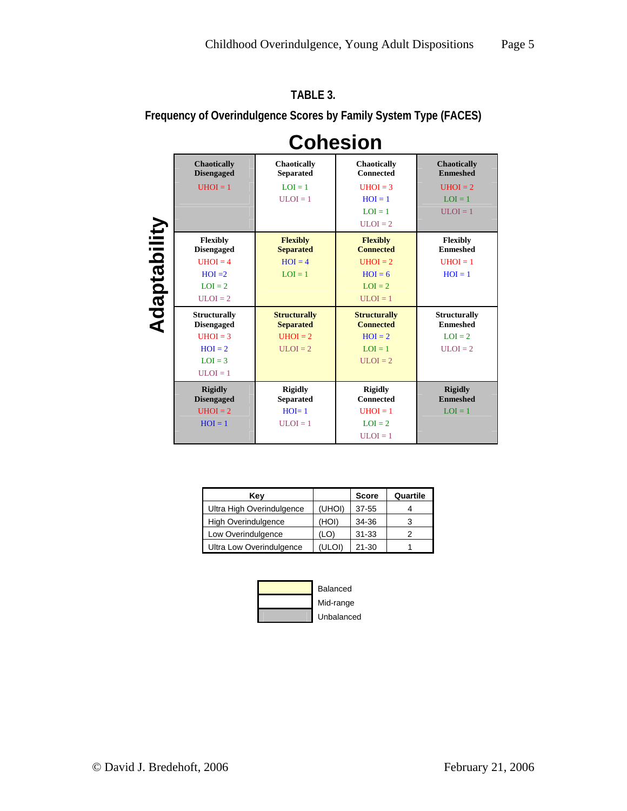|              |                                          | <b>Cohesion</b>                         |                                         |                                        |
|--------------|------------------------------------------|-----------------------------------------|-----------------------------------------|----------------------------------------|
|              | <b>Chaotically</b><br><b>Disengaged</b>  | <b>Chaotically</b><br><b>Separated</b>  | <b>Chaotically</b><br><b>Connected</b>  | <b>Chaotically</b><br><b>Enmeshed</b>  |
|              | $UHOI = 1$                               | $LOI = 1$                               | $UHOI = 3$                              | $UHOI = 2$                             |
|              |                                          | $ULOI = 1$                              | $HOI = 1$                               | $LOI = 1$                              |
|              |                                          |                                         | $LOI = 1$                               | $ULOI = 1$                             |
|              |                                          |                                         | $ULOI = 2$                              |                                        |
| Adaptability | <b>Flexibly</b><br><b>Disengaged</b>     | <b>Flexibly</b><br><b>Separated</b>     | <b>Flexibly</b><br><b>Connected</b>     | <b>Flexibly</b><br><b>Enmeshed</b>     |
|              | $UHOI = 4$                               | $HOI = 4$                               | $UHOI = 2$                              | $UHOI = 1$                             |
|              | $HOI = 2$                                | $LOI = 1$                               | $HOI = 6$                               | $HOI = 1$                              |
|              | $LOI = 2$                                |                                         | $LOI = 2$                               |                                        |
|              | $ULOI = 2$                               |                                         | $ULOI = 1$                              |                                        |
|              | <b>Structurally</b><br><b>Disengaged</b> | <b>Structurally</b><br><b>Separated</b> | <b>Structurally</b><br><b>Connected</b> | <b>Structurally</b><br><b>Enmeshed</b> |
|              | $UHOI = 3$                               | $UHOI = 2$                              | $HOI = 2$                               | $LOI = 2$                              |
|              | $HOI = 2$                                | $ULOI = 2$                              | $LOI = 1$                               | $ULOI = 2$                             |
|              | $LOI = 3$                                |                                         | $ULOI = 2$                              |                                        |
|              | $ULOI = 1$                               |                                         |                                         |                                        |
|              | <b>Rigidly</b><br><b>Disengaged</b>      | <b>Rigidly</b><br><b>Separated</b>      | <b>Rigidly</b><br><b>Connected</b>      | <b>Rigidly</b><br><b>Enmeshed</b>      |
|              | $UHOI = 2$                               | $HOI=1$                                 | $UHOI = 1$                              | $LOI = 1$                              |
|              | $HOI = 1$                                | $ULOI = 1$                              | $LOI = 2$                               |                                        |
|              |                                          |                                         | $ULOI = 1$                              |                                        |

**Frequency of Overindulgence Scores by Family System Type (FACES)** 

**TABLE 3.** 

| Kev                        |        | <b>Score</b> | Quartile |
|----------------------------|--------|--------------|----------|
| Ultra High Overindulgence  | (UHOI) | $37 - 55$    |          |
| <b>High Overindulgence</b> | (IOH   | 34-36        |          |
| Low Overindulgence         | (LO)   | $31 - 33$    |          |
| Ultra Low Overindulgence   |        | $21 - 30$    |          |

|  | Balanced   |
|--|------------|
|  | Mid-range  |
|  | Unbalanced |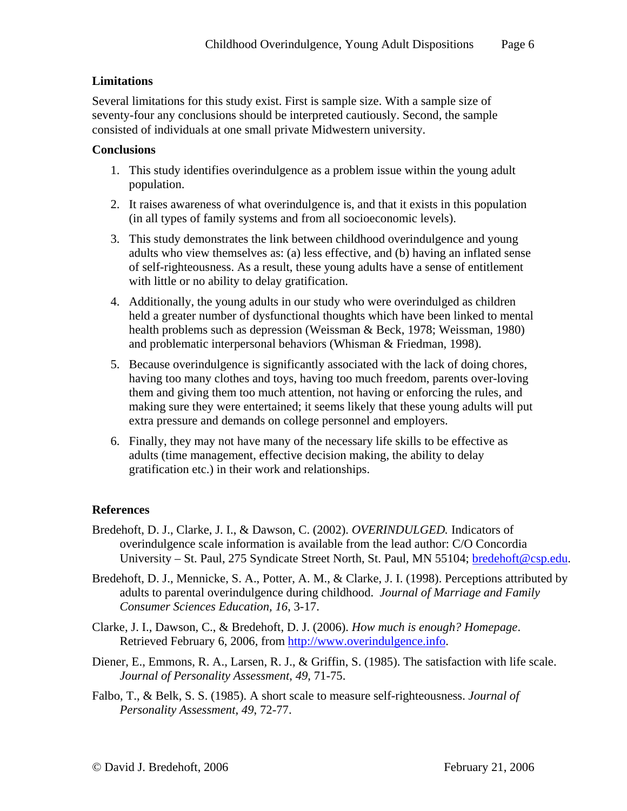## **Limitations**

Several limitations for this study exist. First is sample size. With a sample size of seventy-four any conclusions should be interpreted cautiously. Second, the sample consisted of individuals at one small private Midwestern university.

#### **Conclusions**

- 1. This study identifies overindulgence as a problem issue within the young adult population.
- 2. It raises awareness of what overindulgence is, and that it exists in this population (in all types of family systems and from all socioeconomic levels).
- 3. This study demonstrates the link between childhood overindulgence and young adults who view themselves as: (a) less effective, and (b) having an inflated sense of self-righteousness. As a result, these young adults have a sense of entitlement with little or no ability to delay gratification.
- 4. Additionally, the young adults in our study who were overindulged as children held a greater number of dysfunctional thoughts which have been linked to mental health problems such as depression (Weissman & Beck, 1978; Weissman, 1980) and problematic interpersonal behaviors (Whisman & Friedman, 1998).
- 5. Because overindulgence is significantly associated with the lack of doing chores, having too many clothes and toys, having too much freedom, parents over-loving them and giving them too much attention, not having or enforcing the rules, and making sure they were entertained; it seems likely that these young adults will put extra pressure and demands on college personnel and employers.
- 6. Finally, they may not have many of the necessary life skills to be effective as adults (time management, effective decision making, the ability to delay gratification etc.) in their work and relationships.

### **References**

- Bredehoft, D. J., Clarke, J. I., & Dawson, C. (2002). *OVERINDULGED.* Indicators of overindulgence scale information is available from the lead author: C/O Concordia University – St. Paul, 275 Syndicate Street North, St. Paul, MN 55104; [bredehoft@csp.edu.](mailto:bredehoft@csp.edu)
- Bredehoft, D. J., Mennicke, S. A., Potter, A. M., & Clarke, J. I. (1998). Perceptions attributed by adults to parental overindulgence during childhood. *Journal of Marriage and Family Consumer Sciences Education, 16*, 3-17.
- Clarke, J. I., Dawson, C., & Bredehoft, D. J. (2006). *How much is enough? Homepage*. Retrieved February 6, 2006, from [http://www.overindulgence.info](http://www.overindulgence.info/).
- Diener, E., Emmons, R. A., Larsen, R. J., & Griffin, S. (1985). The satisfaction with life scale. *Journal of Personality Assessment*, *49*, 71-75.
- Falbo, T., & Belk, S. S. (1985). A short scale to measure self-righteousness. *Journal of Personality Assessment*, *49*, 72-77.